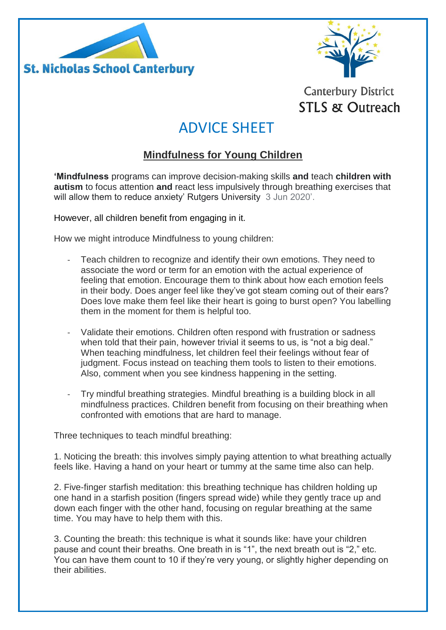



## **Canterbury District STLS & Outreach**

# ADVICE SHEET

### **Mindfulness for Young Children**

**'Mindfulness** programs can improve decision-making skills **and** teach **children with autism** to focus attention **and** react less impulsively through breathing exercises that will allow them to reduce anxiety' Rutgers University 3 Jun 2020'.

However, all children benefit from engaging in it.

How we might introduce Mindfulness to young children:

- Teach children to recognize and identify their own emotions. They need to associate the word or term for an emotion with the actual experience of feeling that emotion. Encourage them to think about how each emotion feels in their body. Does anger feel like they've got steam coming out of their ears? Does love make them feel like their heart is going to burst open? You labelling them in the moment for them is helpful too.
- Validate their emotions. Children often respond with frustration or sadness when told that their pain, however trivial it seems to us, is "not a big deal." When teaching mindfulness, let children feel their feelings without fear of judgment. Focus instead on teaching them tools to listen to their emotions. Also, comment when you see kindness happening in the setting.
- Try mindful breathing strategies. Mindful breathing is a building block in all mindfulness practices. Children benefit from focusing on their breathing when confronted with emotions that are hard to manage.

Three techniques to teach mindful breathing:

1. Noticing the breath: this involves simply paying attention to what breathing actually feels like. Having a hand on your heart or tummy at the same time also can help.

2. Five-finger starfish meditation: this breathing technique has children holding up one hand in a starfish position (fingers spread wide) while they gently trace up and down each finger with the other hand, focusing on regular breathing at the same time. You may have to help them with this.

3. Counting the breath: this technique is what it sounds like: have your children pause and count their breaths. One breath in is "1", the next breath out is "2," etc. You can have them count to 10 if they're very young, or slightly higher depending on their abilities.